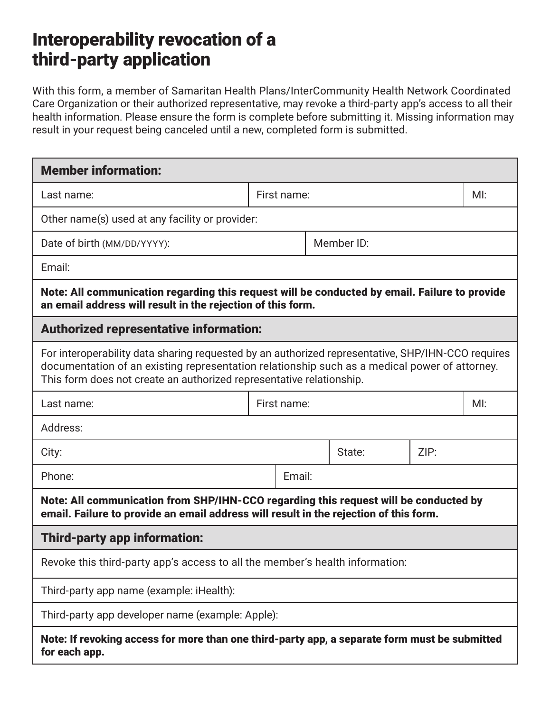## Interoperability revocation of a third-party application

With this form, a member of Samaritan Health Plans/InterCommunity Health Network Coordinated Care Organization or their authorized representative, may revoke a third-party app's access to all their health information. Please ensure the form is complete before submitting it. Missing information may result in your request being canceled until a new, completed form is submitted.

| <b>Member information:</b>                                                                                                                                                                                                                                                 |             |            |        |      |    |
|----------------------------------------------------------------------------------------------------------------------------------------------------------------------------------------------------------------------------------------------------------------------------|-------------|------------|--------|------|----|
| Last name:                                                                                                                                                                                                                                                                 | First name: |            |        | M!   |    |
| Other name(s) used at any facility or provider:                                                                                                                                                                                                                            |             |            |        |      |    |
| Date of birth (MM/DD/YYYY):                                                                                                                                                                                                                                                |             | Member ID: |        |      |    |
| Email:                                                                                                                                                                                                                                                                     |             |            |        |      |    |
| Note: All communication regarding this request will be conducted by email. Failure to provide<br>an email address will result in the rejection of this form.                                                                                                               |             |            |        |      |    |
| <b>Authorized representative information:</b>                                                                                                                                                                                                                              |             |            |        |      |    |
| For interoperability data sharing requested by an authorized representative, SHP/IHN-CCO requires<br>documentation of an existing representation relationship such as a medical power of attorney.<br>This form does not create an authorized representative relationship. |             |            |        |      |    |
| Last name:                                                                                                                                                                                                                                                                 | First name: |            |        |      | M! |
| Address:                                                                                                                                                                                                                                                                   |             |            |        |      |    |
| City:                                                                                                                                                                                                                                                                      |             |            | State: | ZIP: |    |
| Phone:                                                                                                                                                                                                                                                                     | Email:      |            |        |      |    |
| Note: All communication from SHP/IHN-CCO regarding this request will be conducted by<br>email. Failure to provide an email address will result in the rejection of this form.                                                                                              |             |            |        |      |    |
| Third-party app information:                                                                                                                                                                                                                                               |             |            |        |      |    |
| Revoke this third-party app's access to all the member's health information:                                                                                                                                                                                               |             |            |        |      |    |
| Third-party app name (example: iHealth):                                                                                                                                                                                                                                   |             |            |        |      |    |
| Third-party app developer name (example: Apple):                                                                                                                                                                                                                           |             |            |        |      |    |
| Note: If revoking access for more than one third-party app, a separate form must be submitted<br>for each app.                                                                                                                                                             |             |            |        |      |    |